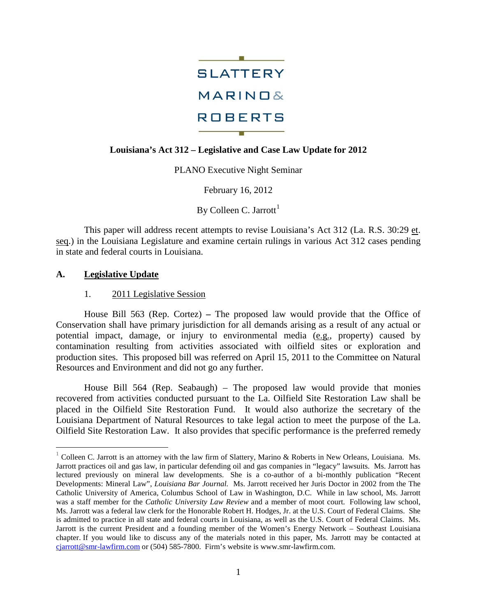

## **Louisiana's Act 312 – Legislative and Case Law Update for 2012**

PLANO Executive Night Seminar

February 16, 2012

By Colleen C. Jarrott<sup>[1](#page-0-0)</sup>

This paper will address recent attempts to revise Louisiana's Act 312 (La. R.S. 30:29 et. seq.) in the Louisiana Legislature and examine certain rulings in various Act 312 cases pending in state and federal courts in Louisiana.

## **A. Legislative Update**

#### 1. 2011 Legislative Session

House Bill 563 (Rep. Cortez) **–** The proposed law would provide that the Office of Conservation shall have primary jurisdiction for all demands arising as a result of any actual or potential impact, damage, or injury to environmental media (e.g., property) caused by contamination resulting from activities associated with oilfield sites or exploration and production sites. This proposed bill was referred on April 15, 2011 to the Committee on Natural Resources and Environment and did not go any further.

House Bill 564 (Rep. Seabaugh) – The proposed law would provide that monies recovered from activities conducted pursuant to the La. Oilfield Site Restoration Law shall be placed in the Oilfield Site Restoration Fund. It would also authorize the secretary of the Louisiana Department of Natural Resources to take legal action to meet the purpose of the La. Oilfield Site Restoration Law. It also provides that specific performance is the preferred remedy

<span id="page-0-0"></span><sup>&</sup>lt;sup>1</sup> Colleen C. Jarrott is an attorney with the law firm of Slattery, Marino & Roberts in New Orleans, Louisiana. Ms. Jarrott practices oil and gas law, in particular defending oil and gas companies in "legacy" lawsuits. Ms. Jarrott has lectured previously on mineral law developments. She is a co-author of a bi-monthly publication "Recent Developments: Mineral Law", *Louisiana Bar Journal.* Ms. Jarrott received her Juris Doctor in 2002 from the The Catholic University of America, Columbus School of Law in Washington, D.C. While in law school, Ms. Jarrott was a staff member for the *Catholic University Law Review* and a member of moot court. Following law school, Ms. Jarrott was a federal law clerk for the Honorable Robert H. Hodges, Jr. at the U.S. Court of Federal Claims. She is admitted to practice in all state and federal courts in Louisiana, as well as the U.S. Court of Federal Claims. Ms. Jarrott is the current President and a founding member of the Women's Energy Network – Southeast Louisiana chapter. If you would like to discuss any of the materials noted in this paper, Ms. Jarrott may be contacted at [cjarrott@smr-lawfirm.com](mailto:cjarrott@smr-lawfirm.com) or (504) 585-7800. Firm's website is www.smr-lawfirm.com.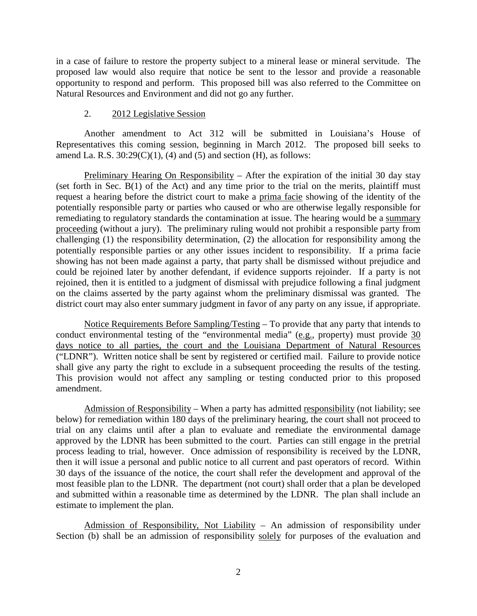in a case of failure to restore the property subject to a mineral lease or mineral servitude. The proposed law would also require that notice be sent to the lessor and provide a reasonable opportunity to respond and perform. This proposed bill was also referred to the Committee on Natural Resources and Environment and did not go any further.

#### 2. 2012 Legislative Session

Another amendment to Act 312 will be submitted in Louisiana's House of Representatives this coming session, beginning in March 2012. The proposed bill seeks to amend La. R.S.  $30:29(C)(1)$ , (4) and (5) and section (H), as follows:

Preliminary Hearing On Responsibility – After the expiration of the initial 30 day stay (set forth in Sec. B(1) of the Act) and any time prior to the trial on the merits, plaintiff must request a hearing before the district court to make a prima facie showing of the identity of the potentially responsible party or parties who caused or who are otherwise legally responsible for remediating to regulatory standards the contamination at issue. The hearing would be a summary proceeding (without a jury). The preliminary ruling would not prohibit a responsible party from challenging (1) the responsibility determination, (2) the allocation for responsibility among the potentially responsible parties or any other issues incident to responsibility. If a prima facie showing has not been made against a party, that party shall be dismissed without prejudice and could be rejoined later by another defendant, if evidence supports rejoinder. If a party is not rejoined, then it is entitled to a judgment of dismissal with prejudice following a final judgment on the claims asserted by the party against whom the preliminary dismissal was granted. The district court may also enter summary judgment in favor of any party on any issue, if appropriate.

Notice Requirements Before Sampling/Testing - To provide that any party that intends to conduct environmental testing of the "environmental media" (e.g., property) must provide 30 days notice to all parties, the court and the Louisiana Department of Natural Resources ("LDNR"). Written notice shall be sent by registered or certified mail. Failure to provide notice shall give any party the right to exclude in a subsequent proceeding the results of the testing. This provision would not affect any sampling or testing conducted prior to this proposed amendment.

Admission of Responsibility – When a party has admitted responsibility (not liability; see below) for remediation within 180 days of the preliminary hearing, the court shall not proceed to trial on any claims until after a plan to evaluate and remediate the environmental damage approved by the LDNR has been submitted to the court. Parties can still engage in the pretrial process leading to trial, however. Once admission of responsibility is received by the LDNR, then it will issue a personal and public notice to all current and past operators of record. Within 30 days of the issuance of the notice, the court shall refer the development and approval of the most feasible plan to the LDNR. The department (not court) shall order that a plan be developed and submitted within a reasonable time as determined by the LDNR. The plan shall include an estimate to implement the plan.

Admission of Responsibility, Not Liability – An admission of responsibility under Section (b) shall be an admission of responsibility solely for purposes of the evaluation and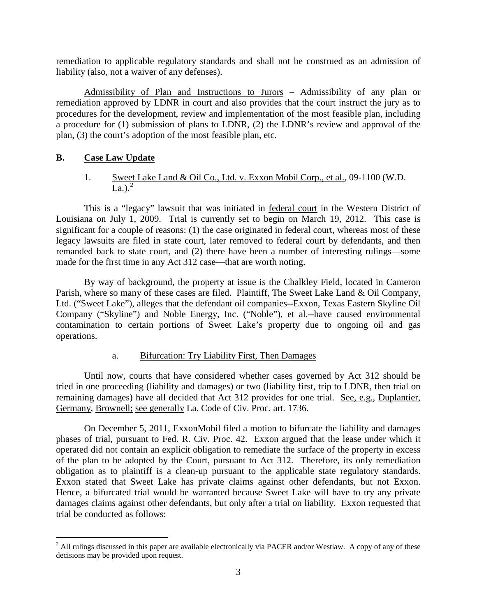remediation to applicable regulatory standards and shall not be construed as an admission of liability (also, not a waiver of any defenses).

Admissibility of Plan and Instructions to Jurors – Admissibility of any plan or remediation approved by LDNR in court and also provides that the court instruct the jury as to procedures for the development, review and implementation of the most feasible plan, including a procedure for (1) submission of plans to LDNR, (2) the LDNR's review and approval of the plan, (3) the court's adoption of the most feasible plan, etc.

# **B. Case Law Update**

# 1. Sweet Lake Land & Oil Co., Ltd. v. Exxon Mobil Corp., et al., 09-1100 (W.D. La.). $^{2}$  $^{2}$  $^{2}$

This is a "legacy" lawsuit that was initiated in federal court in the Western District of Louisiana on July 1, 2009. Trial is currently set to begin on March 19, 2012. This case is significant for a couple of reasons: (1) the case originated in federal court, whereas most of these legacy lawsuits are filed in state court, later removed to federal court by defendants, and then remanded back to state court, and (2) there have been a number of interesting rulings—some made for the first time in any Act 312 case—that are worth noting.

By way of background, the property at issue is the Chalkley Field, located in Cameron Parish, where so many of these cases are filed. Plaintiff, The Sweet Lake Land & Oil Company, Ltd. ("Sweet Lake"), alleges that the defendant oil companies--Exxon, Texas Eastern Skyline Oil Company ("Skyline") and Noble Energy, Inc. ("Noble"), et al.--have caused environmental contamination to certain portions of Sweet Lake's property due to ongoing oil and gas operations.

## a. Bifurcation: Try Liability First, Then Damages

Until now, courts that have considered whether cases governed by Act 312 should be tried in one proceeding (liability and damages) or two (liability first, trip to LDNR, then trial on remaining damages) have all decided that Act 312 provides for one trial. See, e.g., Duplantier, Germany, Brownell; see generally La. Code of Civ. Proc. art. 1736.

On December 5, 2011, ExxonMobil filed a motion to bifurcate the liability and damages phases of trial, pursuant to Fed. R. Civ. Proc. 42. Exxon argued that the lease under which it operated did not contain an explicit obligation to remediate the surface of the property in excess of the plan to be adopted by the Court, pursuant to Act 312. Therefore, its only remediation obligation as to plaintiff is a clean-up pursuant to the applicable state regulatory standards. Exxon stated that Sweet Lake has private claims against other defendants, but not Exxon. Hence, a bifurcated trial would be warranted because Sweet Lake will have to try any private damages claims against other defendants, but only after a trial on liability. Exxon requested that trial be conducted as follows:

<span id="page-2-0"></span> $2$  All rulings discussed in this paper are available electronically via PACER and/or Westlaw. A copy of any of these decisions may be provided upon request.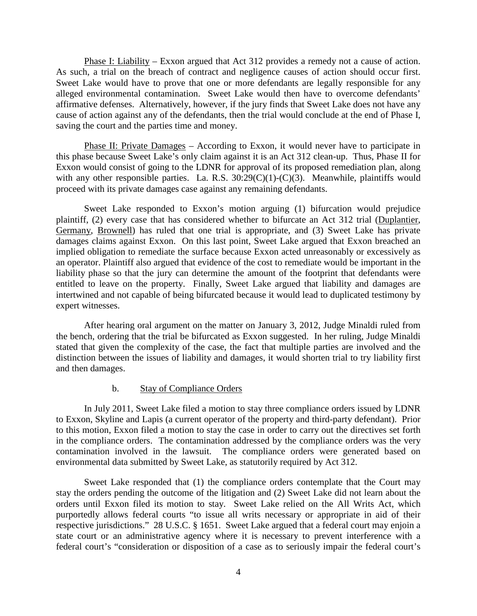Phase I: Liability – Exxon argued that Act 312 provides a remedy not a cause of action. As such, a trial on the breach of contract and negligence causes of action should occur first. Sweet Lake would have to prove that one or more defendants are legally responsible for any alleged environmental contamination. Sweet Lake would then have to overcome defendants' affirmative defenses. Alternatively, however, if the jury finds that Sweet Lake does not have any cause of action against any of the defendants, then the trial would conclude at the end of Phase I, saving the court and the parties time and money.

Phase II: Private Damages – According to Exxon, it would never have to participate in this phase because Sweet Lake's only claim against it is an Act 312 clean-up. Thus, Phase II for Exxon would consist of going to the LDNR for approval of its proposed remediation plan, along with any other responsible parties. La. R.S.  $30:29(C)(1)-(C)(3)$ . Meanwhile, plaintiffs would proceed with its private damages case against any remaining defendants.

Sweet Lake responded to Exxon's motion arguing (1) bifurcation would prejudice plaintiff, (2) every case that has considered whether to bifurcate an Act 312 trial (Duplantier, Germany, Brownell) has ruled that one trial is appropriate, and (3) Sweet Lake has private damages claims against Exxon. On this last point, Sweet Lake argued that Exxon breached an implied obligation to remediate the surface because Exxon acted unreasonably or excessively as an operator. Plaintiff also argued that evidence of the cost to remediate would be important in the liability phase so that the jury can determine the amount of the footprint that defendants were entitled to leave on the property. Finally, Sweet Lake argued that liability and damages are intertwined and not capable of being bifurcated because it would lead to duplicated testimony by expert witnesses.

After hearing oral argument on the matter on January 3, 2012, Judge Minaldi ruled from the bench, ordering that the trial be bifurcated as Exxon suggested. In her ruling, Judge Minaldi stated that given the complexity of the case, the fact that multiple parties are involved and the distinction between the issues of liability and damages, it would shorten trial to try liability first and then damages.

#### b. Stay of Compliance Orders

In July 2011, Sweet Lake filed a motion to stay three compliance orders issued by LDNR to Exxon, Skyline and Lapis (a current operator of the property and third-party defendant). Prior to this motion, Exxon filed a motion to stay the case in order to carry out the directives set forth in the compliance orders. The contamination addressed by the compliance orders was the very contamination involved in the lawsuit. The compliance orders were generated based on environmental data submitted by Sweet Lake, as statutorily required by Act 312.

Sweet Lake responded that (1) the compliance orders contemplate that the Court may stay the orders pending the outcome of the litigation and (2) Sweet Lake did not learn about the orders until Exxon filed its motion to stay. Sweet Lake relied on the All Writs Act, which purportedly allows federal courts "to issue all writs necessary or appropriate in aid of their respective jurisdictions." 28 U.S.C. § 1651. Sweet Lake argued that a federal court may enjoin a state court or an administrative agency where it is necessary to prevent interference with a federal court's "consideration or disposition of a case as to seriously impair the federal court's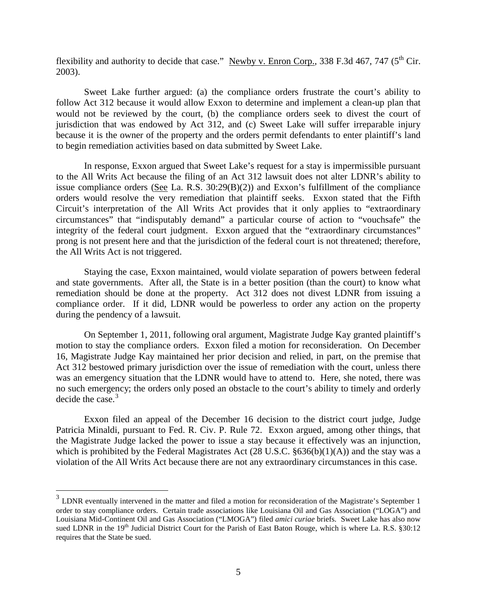flexibility and authority to decide that case." Newby v. Enron Corp., 338 F.3d 467, 747 (5<sup>th</sup> Cir. 2003).

Sweet Lake further argued: (a) the compliance orders frustrate the court's ability to follow Act 312 because it would allow Exxon to determine and implement a clean-up plan that would not be reviewed by the court, (b) the compliance orders seek to divest the court of jurisdiction that was endowed by Act 312, and (c) Sweet Lake will suffer irreparable injury because it is the owner of the property and the orders permit defendants to enter plaintiff's land to begin remediation activities based on data submitted by Sweet Lake.

In response, Exxon argued that Sweet Lake's request for a stay is impermissible pursuant to the All Writs Act because the filing of an Act 312 lawsuit does not alter LDNR's ability to issue compliance orders (See La. R.S. 30:29(B)(2)) and Exxon's fulfillment of the compliance orders would resolve the very remediation that plaintiff seeks. Exxon stated that the Fifth Circuit's interpretation of the All Writs Act provides that it only applies to "extraordinary circumstances" that "indisputably demand" a particular course of action to "vouchsafe" the integrity of the federal court judgment. Exxon argued that the "extraordinary circumstances" prong is not present here and that the jurisdiction of the federal court is not threatened; therefore, the All Writs Act is not triggered.

Staying the case, Exxon maintained, would violate separation of powers between federal and state governments. After all, the State is in a better position (than the court) to know what remediation should be done at the property. Act 312 does not divest LDNR from issuing a compliance order. If it did, LDNR would be powerless to order any action on the property during the pendency of a lawsuit.

On September 1, 2011, following oral argument, Magistrate Judge Kay granted plaintiff's motion to stay the compliance orders. Exxon filed a motion for reconsideration. On December 16, Magistrate Judge Kay maintained her prior decision and relied, in part, on the premise that Act 312 bestowed primary jurisdiction over the issue of remediation with the court, unless there was an emergency situation that the LDNR would have to attend to. Here, she noted, there was no such emergency; the orders only posed an obstacle to the court's ability to timely and orderly decide the case. $3$ 

Exxon filed an appeal of the December 16 decision to the district court judge, Judge Patricia Minaldi, pursuant to Fed. R. Civ. P. Rule 72. Exxon argued, among other things, that the Magistrate Judge lacked the power to issue a stay because it effectively was an injunction, which is prohibited by the Federal Magistrates Act (28 U.S.C. §636(b)(1)(A)) and the stay was a violation of the All Writs Act because there are not any extraordinary circumstances in this case.

<span id="page-4-0"></span> $3$  LDNR eventually intervened in the matter and filed a motion for reconsideration of the Magistrate's September 1 order to stay compliance orders. Certain trade associations like Louisiana Oil and Gas Association ("LOGA") and Louisiana Mid-Continent Oil and Gas Association ("LMOGA") filed *amici curiae* briefs. Sweet Lake has also now sued LDNR in the  $19<sup>th</sup>$  Judicial District Court for the Parish of East Baton Rouge, which is where La. R.S. §30:12 requires that the State be sued.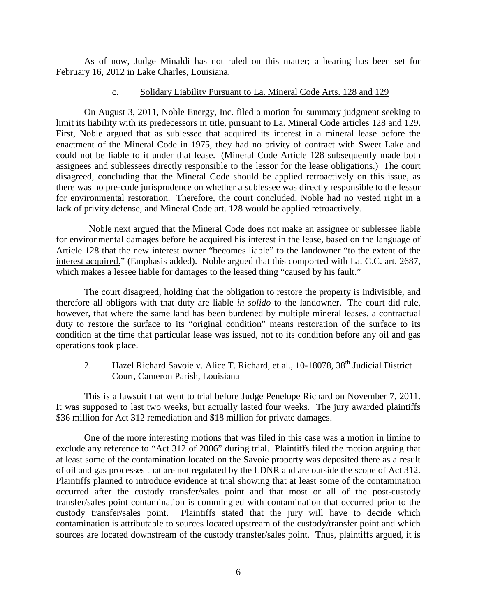As of now, Judge Minaldi has not ruled on this matter; a hearing has been set for February 16, 2012 in Lake Charles, Louisiana.

#### c. Solidary Liability Pursuant to La. Mineral Code Arts. 128 and 129

On August 3, 2011, Noble Energy, Inc. filed a motion for summary judgment seeking to limit its liability with its predecessors in title, pursuant to La. Mineral Code articles 128 and 129. First, Noble argued that as sublessee that acquired its interest in a mineral lease before the enactment of the Mineral Code in 1975, they had no privity of contract with Sweet Lake and could not be liable to it under that lease. (Mineral Code Article 128 subsequently made both assignees and sublessees directly responsible to the lessor for the lease obligations.) The court disagreed, concluding that the Mineral Code should be applied retroactively on this issue, as there was no pre-code jurisprudence on whether a sublessee was directly responsible to the lessor for environmental restoration. Therefore, the court concluded, Noble had no vested right in a lack of privity defense, and Mineral Code art. 128 would be applied retroactively.

 Noble next argued that the Mineral Code does not make an assignee or sublessee liable for environmental damages before he acquired his interest in the lease, based on the language of Article 128 that the new interest owner "becomes liable" to the landowner "to the extent of the interest acquired." (Emphasis added). Noble argued that this comported with La. C.C. art. 2687, which makes a lessee liable for damages to the leased thing "caused by his fault."

The court disagreed, holding that the obligation to restore the property is indivisible, and therefore all obligors with that duty are liable *in solido* to the landowner. The court did rule, however, that where the same land has been burdened by multiple mineral leases, a contractual duty to restore the surface to its "original condition" means restoration of the surface to its condition at the time that particular lease was issued, not to its condition before any oil and gas operations took place.

# 2. Hazel Richard Savoie v. Alice T. Richard, et al., 10-18078, 38<sup>th</sup> Judicial District Court, Cameron Parish, Louisiana

This is a lawsuit that went to trial before Judge Penelope Richard on November 7, 2011. It was supposed to last two weeks, but actually lasted four weeks. The jury awarded plaintiffs \$36 million for Act 312 remediation and \$18 million for private damages.

One of the more interesting motions that was filed in this case was a motion in limine to exclude any reference to "Act 312 of 2006" during trial. Plaintiffs filed the motion arguing that at least some of the contamination located on the Savoie property was deposited there as a result of oil and gas processes that are not regulated by the LDNR and are outside the scope of Act 312. Plaintiffs planned to introduce evidence at trial showing that at least some of the contamination occurred after the custody transfer/sales point and that most or all of the post-custody transfer/sales point contamination is commingled with contamination that occurred prior to the custody transfer/sales point. Plaintiffs stated that the jury will have to decide which contamination is attributable to sources located upstream of the custody/transfer point and which sources are located downstream of the custody transfer/sales point. Thus, plaintiffs argued, it is